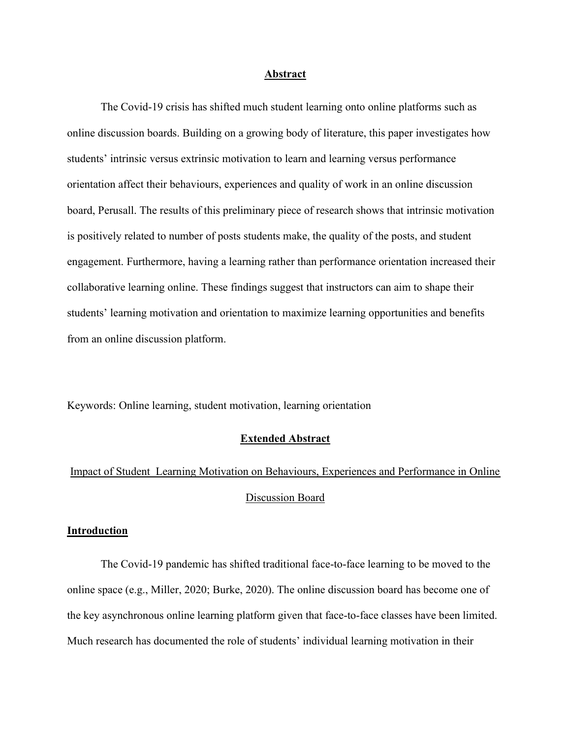#### Abstract

 The Covid-19 crisis has shifted much student learning onto online platforms such as online discussion boards. Building on a growing body of literature, this paper investigates how students' intrinsic versus extrinsic motivation to learn and learning versus performance orientation affect their behaviours, experiences and quality of work in an online discussion board, Perusall. The results of this preliminary piece of research shows that intrinsic motivation is positively related to number of posts students make, the quality of the posts, and student engagement. Furthermore, having a learning rather than performance orientation increased their collaborative learning online. These findings suggest that instructors can aim to shape their students' learning motivation and orientation to maximize learning opportunities and benefits from an online discussion platform.

Keywords: Online learning, student motivation, learning orientation

## Extended Abstract

# Impact of Student Learning Motivation on Behaviours, Experiences and Performance in Online Discussion Board

## Introduction

 The Covid-19 pandemic has shifted traditional face-to-face learning to be moved to the online space (e.g., Miller, 2020; Burke, 2020). The online discussion board has become one of the key asynchronous online learning platform given that face-to-face classes have been limited. Much research has documented the role of students' individual learning motivation in their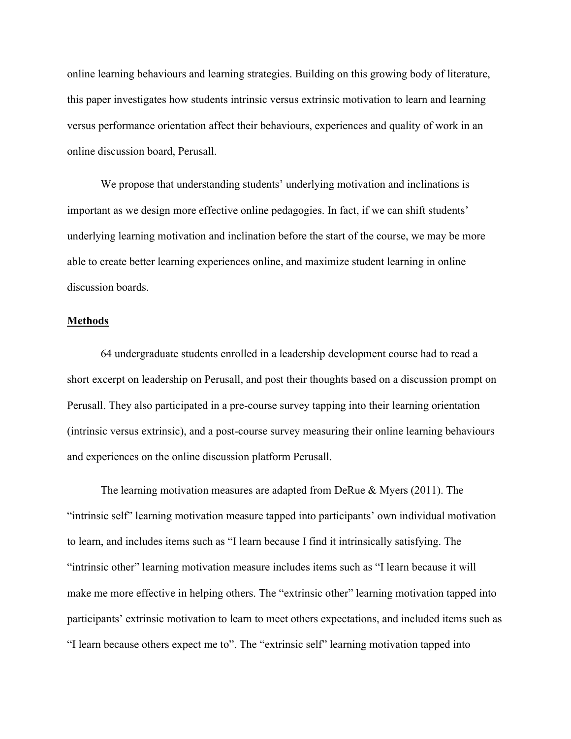online learning behaviours and learning strategies. Building on this growing body of literature, this paper investigates how students intrinsic versus extrinsic motivation to learn and learning versus performance orientation affect their behaviours, experiences and quality of work in an online discussion board, Perusall.

 We propose that understanding students' underlying motivation and inclinations is important as we design more effective online pedagogies. In fact, if we can shift students' underlying learning motivation and inclination before the start of the course, we may be more able to create better learning experiences online, and maximize student learning in online discussion boards.

## Methods

 64 undergraduate students enrolled in a leadership development course had to read a short excerpt on leadership on Perusall, and post their thoughts based on a discussion prompt on Perusall. They also participated in a pre-course survey tapping into their learning orientation (intrinsic versus extrinsic), and a post-course survey measuring their online learning behaviours and experiences on the online discussion platform Perusall.

 The learning motivation measures are adapted from DeRue & Myers (2011). The "intrinsic self" learning motivation measure tapped into participants' own individual motivation to learn, and includes items such as "I learn because I find it intrinsically satisfying. The "intrinsic other" learning motivation measure includes items such as "I learn because it will make me more effective in helping others. The "extrinsic other" learning motivation tapped into participants' extrinsic motivation to learn to meet others expectations, and included items such as "I learn because others expect me to". The "extrinsic self" learning motivation tapped into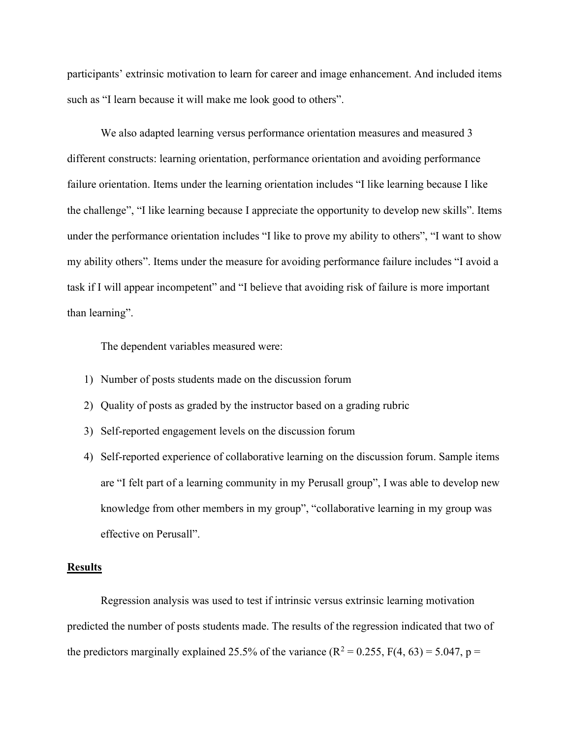participants' extrinsic motivation to learn for career and image enhancement. And included items such as "I learn because it will make me look good to others".

 We also adapted learning versus performance orientation measures and measured 3 different constructs: learning orientation, performance orientation and avoiding performance failure orientation. Items under the learning orientation includes "I like learning because I like the challenge", "I like learning because I appreciate the opportunity to develop new skills". Items under the performance orientation includes "I like to prove my ability to others", "I want to show my ability others". Items under the measure for avoiding performance failure includes "I avoid a task if I will appear incompetent" and "I believe that avoiding risk of failure is more important than learning".

The dependent variables measured were:

- 1) Number of posts students made on the discussion forum
- 2) Quality of posts as graded by the instructor based on a grading rubric
- 3) Self-reported engagement levels on the discussion forum
- 4) Self-reported experience of collaborative learning on the discussion forum. Sample items are "I felt part of a learning community in my Perusall group", I was able to develop new knowledge from other members in my group", "collaborative learning in my group was effective on Perusall".

## **Results**

Regression analysis was used to test if intrinsic versus extrinsic learning motivation predicted the number of posts students made. The results of the regression indicated that two of the predictors marginally explained 25.5% of the variance ( $R^2 = 0.255$ ,  $F(4, 63) = 5.047$ ,  $p =$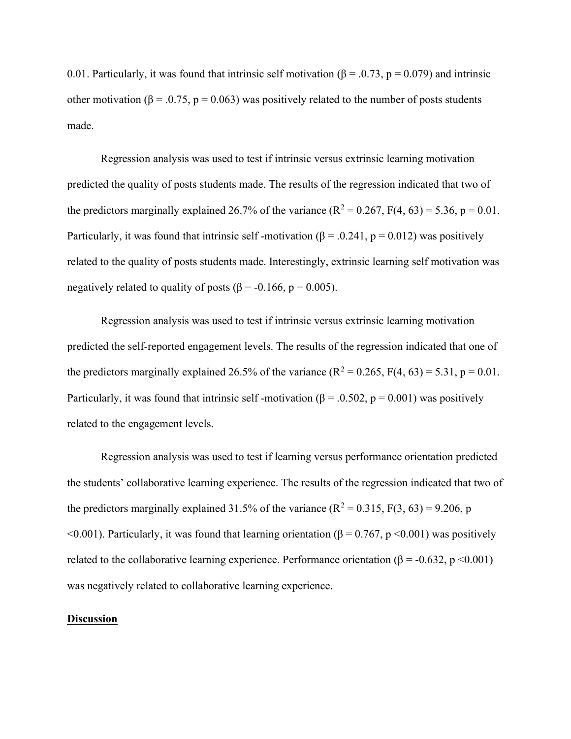0.01. Particularly, it was found that intrinsic self motivation ( $\beta = 0.73$ ,  $p = 0.079$ ) and intrinsic other motivation ( $\beta = 0.75$ ,  $p = 0.063$ ) was positively related to the number of posts students made.

 Regression analysis was used to test if intrinsic versus extrinsic learning motivation predicted the quality of posts students made. The results of the regression indicated that two of the predictors marginally explained 26.7% of the variance ( $R^2 = 0.267$ ,  $F(4, 63) = 5.36$ ,  $p = 0.01$ . Particularly, it was found that intrinsic self-motivation ( $\beta$  = .0.241, p = 0.012) was positively related to the quality of posts students made. Interestingly, extrinsic learning self motivation was negatively related to quality of posts ( $\beta$  = -0.166, p = 0.005).

 Regression analysis was used to test if intrinsic versus extrinsic learning motivation predicted the self-reported engagement levels. The results of the regression indicated that one of the predictors marginally explained 26.5% of the variance ( $R^2 = 0.265$ ,  $F(4, 63) = 5.31$ ,  $p = 0.01$ . Particularly, it was found that intrinsic self-motivation ( $\beta$  = .0.502, p = 0.001) was positively related to the engagement levels.

 Regression analysis was used to test if learning versus performance orientation predicted the students' collaborative learning experience. The results of the regression indicated that two of the predictors marginally explained 31.5% of the variance ( $R^2 = 0.315$ ,  $F(3, 63) = 9.206$ , p  $\leq 0.001$ ). Particularly, it was found that learning orientation ( $\beta = 0.767$ , p $\leq 0.001$ ) was positively related to the collaborative learning experience. Performance orientation ( $\beta$  = -0.632, p <0.001) was negatively related to collaborative learning experience.

## **Discussion**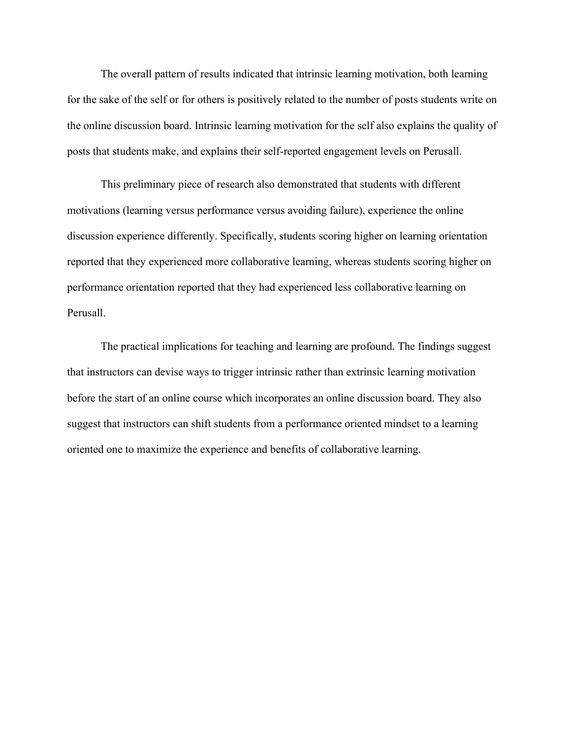The overall pattern of results indicated that intrinsic learning motivation, both learning for the sake of the self or for others is positively related to the number of posts students write on the online discussion board. Intrinsic learning motivation for the self also explains the quality of posts that students make, and explains their self-reported engagement levels on Perusall.

 This preliminary piece of research also demonstrated that students with different motivations (learning versus performance versus avoiding failure), experience the online discussion experience differently. Specifically, students scoring higher on learning orientation reported that they experienced more collaborative learning, whereas students scoring higher on performance orientation reported that they had experienced less collaborative learning on Perusall.

 The practical implications for teaching and learning are profound. The findings suggest that instructors can devise ways to trigger intrinsic rather than extrinsic learning motivation before the start of an online course which incorporates an online discussion board. They also suggest that instructors can shift students from a performance oriented mindset to a learning oriented one to maximize the experience and benefits of collaborative learning.